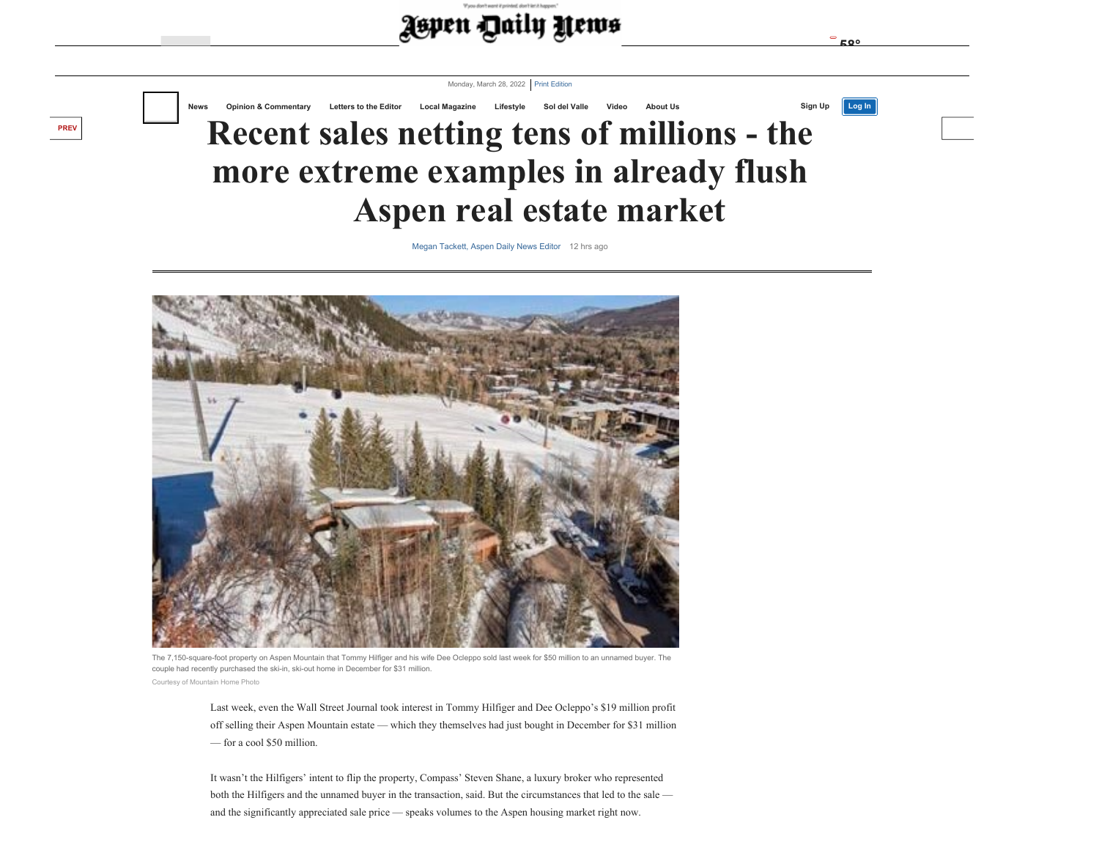



[Megan Tackett, Aspen Daily News Edito](https://www.aspendailynews.com/users/profile/Megan%20Tackett)r 12 hrs ago



**[PREV](https://www.aspendailynews.com/news/q-a-with-new-aspen-football-head-coach-eric-mccready/article_88ac4264-ae41-11ec-8467-dbe82ee18e8b.html#tncms-source=article-nav-prev)**

The 7,150-square-foot property on Aspen Mountain that Tommy Hilfiger and his wife Dee Ocleppo sold last week for \$50 million to an unnamed buyer. The couple had recently purchased the ski-in, ski-out home in December for \$31 million. Courtesy of Mountain Home Photo

Last week, even the Wall Street Journal took interest in Tommy Hilfiger and Dee Ocleppo's \$19 million profit off selling their Aspen Mountain estate — which they themselves had just bought in December for \$31 million — for a cool \$50 million.

It wasn't the Hilfigers' intent to flip the property, Compass' Steven Shane, a luxury broker who represented both the Hilfigers and the unnamed buyer in the transaction, said. But the circumstances that led to the sale and the significantly appreciated sale price — speaks volumes to the Aspen housing market right now.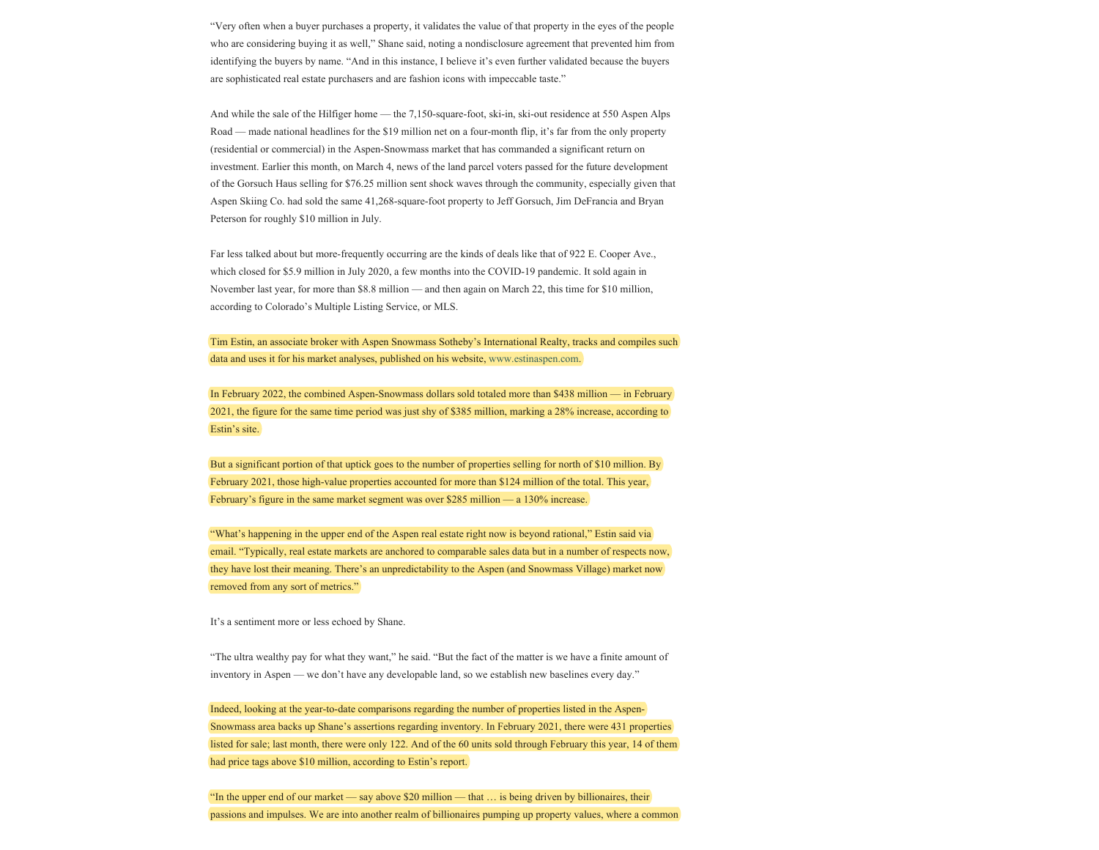"Very often when a buyer purchases a property, it validates the value of that property in the eyes of the people who are considering buying it as well," Shane said, noting a nondisclosure agreement that prevented him from identifying the buyers by name. "And in this instance, I believe it's even further validated because the buyers are sophisticated real estate purchasers and are fashion icons with impeccable taste."

And while the sale of the Hilfiger home — the 7,150-square-foot, ski-in, ski-out residence at 550 Aspen Alps Road — made national headlines for the \$19 million net on a four-month flip, it's far from the only property (residential or commercial) in the Aspen-Snowmass market that has commanded a significant return on investment. Earlier this month, on March 4, news of the land parcel voters passed for the future development of the Gorsuch Haus selling for \$76.25 million sent shock waves through the community, especially given that Aspen Skiing Co. had sold the same 41,268-square-foot property to Jeff Gorsuch, Jim DeFrancia and Bryan Peterson for roughly \$10 million in July.

Far less talked about but more-frequently occurring are the kinds of deals like that of 922 E. Cooper Ave., which closed for \$5.9 million in July 2020, a few months into the COVID-19 pandemic. It sold again in November last year, for more than \$8.8 million — and then again on March 22, this time for \$10 million, according to Colorado's Multiple Listing Service, or MLS.

Tim Estin, an associate broker with Aspen Snowmass Sotheby's International Realty, tracks and compiles such data and uses it for his market analyses, published on his website, [www.estinaspen.com](http://www.estinaspen.com/).

In February 2022, the combined Aspen-Snowmass dollars sold totaled more than \$438 million — in February 2021, the figure for the same time period was just shy of \$385 million, marking a 28% increase, according to Estin's site.

But a significant portion of that uptick goes to the number of properties selling for north of \$10 million. By February 2021, those high-value properties accounted for more than \$124 million of the total. This year, February's figure in the same market segment was over \$285 million — a 130% increase.

"What's happening in the upper end of the Aspen real estate right now is beyond rational," Estin said via email. "Typically, real estate markets are anchored to comparable sales data but in a number of respects now, they have lost their meaning. There's an unpredictability to the Aspen (and Snowmass Village) market now removed from any sort of metrics."

It's a sentiment more or less echoed by Shane.

"The ultra wealthy pay for what they want," he said. "But the fact of the matter is we have a finite amount of inventory in Aspen — we don't have any developable land, so we establish new baselines every day."

Indeed, looking at the year-to-date comparisons regarding the number of properties listed in the Aspen-Snowmass area backs up Shane's assertions regarding inventory. In February 2021, there were 431 properties listed for sale; last month, there were only 122. And of the 60 units sold through February this year, 14 of them had price tags above \$10 million, according to Estin's report.

"In the upper end of our market — say above \$20 million — that … is being driven by billionaires, their passions and impulses. We are into another realm of billionaires pumping up property values, where a common